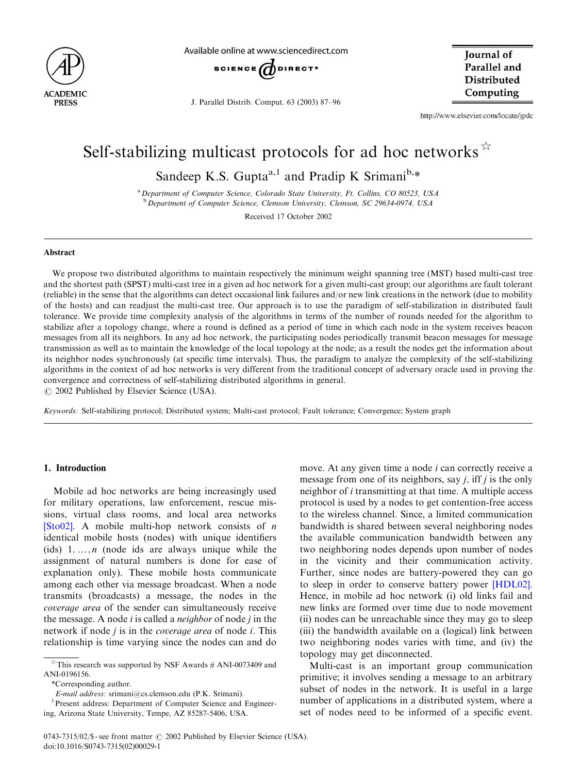

Available online at www.sciencedirect.com



J. Parallel Distrib. Comput. 63 (2003) 87–96

Journal of Parallel and **Distributed** Computing

http://www.elsevier.com/locate/jpdc

# Self-stabilizing multicast protocols for ad hoc networks  $\overrightarrow{x}$

Sandeep K.S. Gupta<sup>a,1</sup> and Pradip K Srimani<sup>b,\*</sup>

<sup>a</sup> Department of Computer Science, Colorado State University, Ft. Collins, CO 80523, USA  $^{\rm b}$  Department of Computer Science, Clemson University, Clemson, SC 29634-0974, USA

Received 17 October 2002

#### Abstract

We propose two distributed algorithms to maintain respectively the minimum weight spanning tree (MST) based multi-cast tree and the shortest path (SPST) multi-cast tree in a given ad hoc network for a given multi-cast group; our algorithms are fault tolerant (reliable) in the sense that the algorithms can detect occasional link failures and/or new link creations in the network (due to mobility of the hosts) and can readjust the multi-cast tree. Our approach is to use the paradigm of self-stabilization in distributed fault tolerance. We provide time complexity analysis of the algorithms in terms of the number of rounds needed for the algorithm to stabilize after a topology change, where a round is defined as a period of time in which each node in the system receives beacon messages from all its neighbors. In any ad hoc network, the participating nodes periodically transmit beacon messages for message transmission as well as to maintain the knowledge of the local topology at the node; as a result the nodes get the information about its neighbor nodes synchronously (at specific time intervals). Thus, the paradigm to analyze the complexity of the self-stabilizing algorithms in the context of ad hoc networks is very different from the traditional concept of adversary oracle used in proving the convergence and correctness of self-stabilizing distributed algorithms in general.

 $\odot$  2002 Published by Elsevier Science (USA).

Keywords: Self-stabilizing protocol; Distributed system; Multi-cast protocol; Fault tolerance; Convergence; System graph

# 1. Introduction

Mobile ad hoc networks are being increasingly used for military operations, law enforcement, rescue missions, virtual class rooms, and local area networks [\[Sto02\].](#page-9-0) A mobile multi-hop network consists of  $n$ identical mobile hosts (nodes) with unique identifiers (ids)  $1, \ldots, n$  (node ids are always unique while the assignment of natural numbers is done for ease of explanation only). These mobile hosts communicate among each other via message broadcast. When a node transmits (broadcasts) a message, the nodes in the coverage area of the sender can simultaneously receive the message. A node  $i$  is called a *neighbor* of node  $j$  in the network if node  $j$  is in the *coverage area* of node  $i$ . This relationship is time varying since the nodes can and do

\*Corresponding author.

<sup>1</sup> Present address: Department of Computer Science and Engineering, Arizona State University, Tempe, AZ 85287-5406, USA.

move. At any given time a node *i* can correctly receive a message from one of its neighbors, say  $i$ , iff  $j$  is the only neighbor of i transmitting at that time. A multiple access protocol is used by a nodes to get contention-free access to the wireless channel. Since, a limited communication bandwidth is shared between several neighboring nodes the available communication bandwidth between any two neighboring nodes depends upon number of nodes in the vicinity and their communication activity. Further, since nodes are battery-powered they can go to sleep in order to conserve battery power [\[HDL02\]](#page-9-0). Hence, in mobile ad hoc network (i) old links fail and new links are formed over time due to node movement (ii) nodes can be unreachable since they may go to sleep (iii) the bandwidth available on a (logical) link between two neighboring nodes varies with time, and (iv) the topology may get disconnected.

Multi-cast is an important group communication primitive; it involves sending a message to an arbitrary subset of nodes in the network. It is useful in a large number of applications in a distributed system, where a set of nodes need to be informed of a specific event.

 $*$ This research was supported by NSF Awards # ANI-0073409 and ANI-0196156.

E-mail address: srimani@cs.clemson.edu (P.K. Srimani). <sup>1</sup>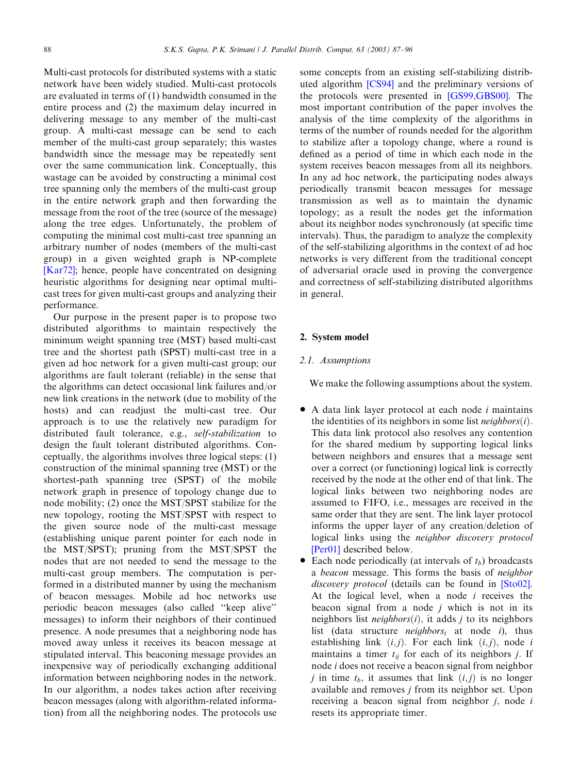Multi-cast protocols for distributed systems with a static network have been widely studied. Multi-cast protocols are evaluated in terms of (1) bandwidth consumed in the entire process and (2) the maximum delay incurred in delivering message to any member of the multi-cast group. A multi-cast message canbe send to each member of the multi-cast group separately; this wastes bandwidth since the message may be repeatedly sent over the same communication link. Conceptually, this wastage can be avoided by constructing a minimal cost tree spanning only the members of the multi-cast group in the entire network graph and then forwarding the message from the root of the tree (source of the message) along the tree edges. Unfortunately, the problem of computing the minimal cost multi-cast tree spanning an arbitrary number of nodes (members of the multi-cast group) in a given weighted graph is NP-complete [\[Kar72\]](#page-9-0); hence, people have concentrated on designing heuristic algorithms for designing near optimal multicast trees for given multi-cast groups and analyzing their performance.

Our purpose in the present paper is to propose two distributed algorithms to maintain respectively the minimum weight spanning tree (MST) based multi-cast tree and the shortest path (SPST) multi-cast tree in a given ad hoc network for a given multi-cast group; our algorithms are fault tolerant (reliable) in the sense that the algorithms can detect occasional link failures and/or new link creations in the network (due to mobility of the hosts) and can readjust the multi-cast tree. Our approach is to use the relatively new paradigm for distributed fault tolerance, e.g., self-stabilization to design the fault tolerant distributed algorithms. Conceptually, the algorithms involves three logical steps: (1) construction of the minimal spanning tree (MST) or the shortest-path spanning tree (SPST) of the mobile network graph in presence of topology change due to node mobility; (2) once the MST/SPST stabilize for the new topology, rooting the MST/SPST with respect to the given source node of the multi-cast message (establishing unique parent pointer for each node in the MST/SPST); pruning from the MST/SPST the nodes that are not needed to send the message to the multi-cast group members. The computation is performed in a distributed manner by using the mechanism of beacon messages. Mobile ad hoc networks use periodic beacon messages (also called "keep alive" messages) to inform their neighbors of their continued presence. A node presumes that a neighboring node has moved away unless it receives its beacon message at stipulated interval. This beaconing message provides an inexpensive way of periodically exchanging additional information between neighboring nodes in the network. In our algorithm, a nodes takes action after receiving beacon messages (along with algorithm-related information) from all the neighboring nodes. The protocols use some concepts from an existing self-stabilizing distributed algorithm [\[CS94\]](#page-9-0) and the preliminary versions of the protocols were presented in [\[GS99,GBS00\].](#page-9-0) The most important contribution of the paper involves the analysis of the time complexity of the algorithms in terms of the number of rounds needed for the algorithm to stabilize after a topology change, where a round is defined as a period of time in which each node in the system receives beacon messages from all its neighbors. In any ad hoc network, the participating nodes always periodically transmit beacon messages for message transmission as well as to maintain the dynamic topology; as a result the nodes get the information about its neighbor nodes synchronously (at specific time intervals). Thus, the paradigm to analyze the complexity of the self-stabilizing algorithms in the context of ad hoc networks is very different from the traditional concept of adversarial oracle used in proving the convergence and correctness of self-stabilizing distributed algorithms in general.

#### 2. System model

# 2.1. Assumptions

We make the following assumptions about the system.

- $\bullet$  A data link layer protocol at each node *i* maintains the identities of its neighbors in some list *neighbors* $(i)$ . This data link protocol also resolves any contention for the shared medium by supporting logical links between neighbors and ensures that a message sent over a correct (or functioning) logical link is correctly received by the node at the other end of that link. The logical links between two neighboring nodes are assumed to FIFO, i.e., messages are received in the same order that they are sent. The link layer protocol informs the upper layer of any creation/deletion of logical links using the neighbor discovery protocol [\[Per01\]](#page-9-0) described below.
- Each node periodically (at intervals of  $t<sub>b</sub>$ ) broadcasts a beacon message. This forms the basis of neighbor discovery protocol (details can be found in [\[Sto02\]](#page-9-0). At the logical level, when a node  $i$  receives the beacon signal from a node  $j$  which is not in its neighbors list *neighbors(i)*, it adds *j* to its neighbors list (data structure *neighbors<sub>i</sub>* at node *i*), thus establishing link  $(i, j)$ . For each link  $(i, j)$ , node i maintains a timer  $t_{ij}$  for each of its neighbors j. If node i does not receive a beacon signal from neighbor j in time  $t_b$ , it assumes that link  $(i, j)$  is no longer available and removes j from its neighbor set. Upon receiving a beacon signal from neighbor  $i$ , node  $i$ resets its appropriate timer.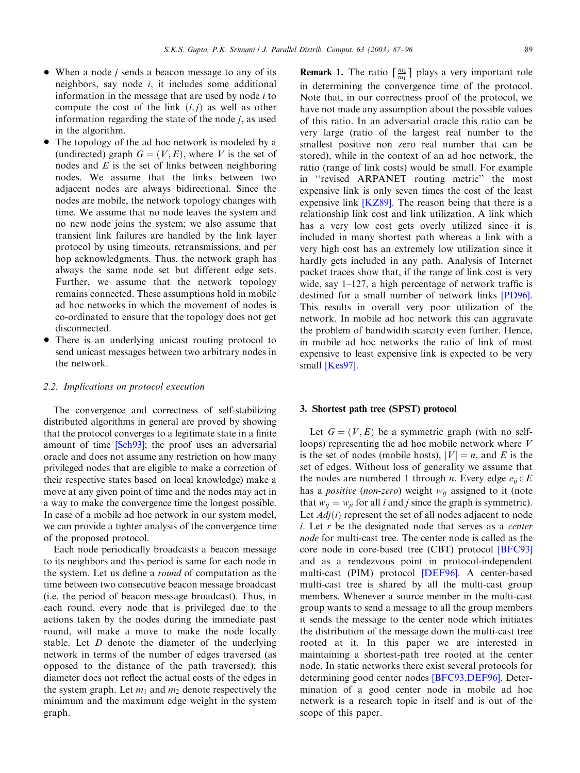- When a node  $j$  sends a beacon message to any of its neighbors, say node  $i$ , it includes some additional information in the message that are used by node  $i$  to compute the cost of the link  $(i, j)$  as well as other information regarding the state of the node  $j$ , as used in the algorithm.
- The topology of the ad hoc network is modeled by a (undirected) graph  $G = (V, E)$ , where V is the set of nodes and  $E$  is the set of links between neighboring nodes. We assume that the links between two adjacent nodes are always bidirectional. Since the nodes are mobile, the network topology changes with time. We assume that no node leaves the system and no new node joins the system; we also assume that transient link failures are handled by the link layer protocol by using timeouts, retransmissions, and per hop acknowledgments. Thus, the network graph has always the same node set but different edge sets. Further, we assume that the network topology remains connected. These assumptions hold in mobile ad hoc networks in which the movement of nodes is co-ordinated to ensure that the topology does not get disconnected.
- There is an underlying unicast routing protocol to send unicast messages between two arbitrary nodes in the network.

## 2.2. Implications on protocol execution

The convergence and correctness of self-stabilizing distributed algorithms in general are proved by showing that the protocol converges to a legitimate state in a finite amount of time *[\[Sch93\]](#page-9-0)*; the proof uses an adversarial oracle and does not assume any restriction on how many privileged nodes that are eligible to make a correction of their respective states based on local knowledge) make a move at any given point of time and the nodes may act in a way to make the convergence time the longest possible. In case of a mobile ad hoc network in our system model, we can provide a tighter analysis of the convergence time of the proposed protocol.

Each node periodically broadcasts a beacon message to its neighbors and this period is same for each node in the system. Let us define a *round* of computation as the time between two consecutive beacon message broadcast (i.e. the period of beaconmessage broadcast). Thus, in each round, every node that is privileged due to the actions taken by the nodes during the immediate past round, will make a move to make the node locally stable. Let D denote the diameter of the underlying network in terms of the number of edges traversed (as opposed to the distance of the path traversed); this diameter does not reflect the actual costs of the edges in the system graph. Let  $m_1$  and  $m_2$  denote respectively the minimum and the maximum edge weight in the system graph.

**Remark 1.** The ratio  $\lceil \frac{m_2}{m_1} \rceil$  plays a very important role in determining the convergence time of the protocol. Note that, in our correctness proof of the protocol, we have not made any assumption about the possible values of this ratio. In an adversarial oracle this ratio can be very large (ratio of the largest real number to the smallest positive non zero real number that can be stored), while in the context of an ad hoc network, the ratio (range of link costs) would be small. For example in''revised ARPANET routing metric'' the most expensive link is only seven times the cost of the least expensive link  $[KZ89]$ . The reason being that there is a relationship link cost and link utilization. A link which has a very low cost gets overly utilized since it is included in many shortest path whereas a link with a very high cost has an extremely low utilization since it hardly gets included in any path. Analysis of Internet packet traces show that, if the range of link cost is very wide, say 1–127, a high percentage of network traffic is destined for a small number of network links [\[PD96\]](#page-9-0). This results in overall very poor utilization of the network. In mobile ad hoc network this can aggravate the problem of bandwidth scarcity even further. Hence, in mobile ad hoc networks the ratio of link of most expensive to least expensive link is expected to be very small [\[Kes97\]](#page-9-0).

#### 3. Shortest path tree (SPST) protocol

Let  $G = (V, E)$  be a symmetric graph (with no selfloops) representing the ad hoc mobile network where V is the set of nodes (mobile hosts),  $|V| = n$ , and E is the set of edges. Without loss of generality we assume that the nodes are numbered 1 through *n*. Every edge  $e_{ij} \in E$ has a *positive* (non-zero) weight  $w_{ij}$  assigned to it (note that  $w_{ij} = w_{ji}$  for all *i* and *j* since the graph is symmetric). Let  $Adj(i)$  represent the set of all nodes adjacent to node  $i.$  Let  $r$  be the designated node that serves as a *center* node for multi-cast tree. The center node is called as the core node in core-based tree (CBT) protocol [\[BFC93\]](#page-9-0) and as a rendezvous point in protocol-independent multi-cast (PIM) protocol [\[DEF96\].](#page-9-0) A center-based multi-cast tree is shared by all the multi-cast group members. Whenever a source member in the multi-cast group wants to send a message to all the group members it sends the message to the center node which initiates the distribution of the message down the multi-cast tree rooted at it. In this paper we are interested in maintaining a shortest-path tree rooted at the center node. In static networks there exist several protocols for determining good center nodes [\[BFC93,DEF96\].](#page-9-0) Determination of a good center node in mobile ad hoc network is a research topic in itself and is out of the scope of this paper.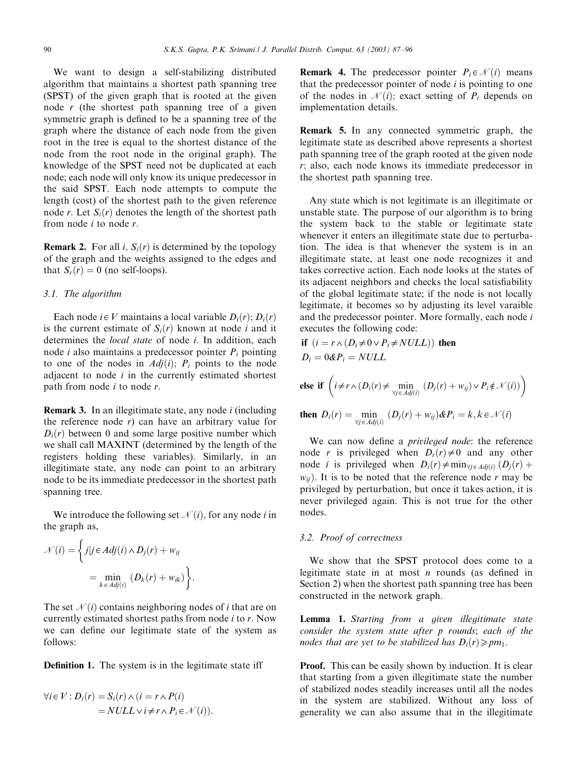We want to design a self-stabilizing distributed algorithm that maintains a shortest path spanning tree (SPST) of the given graph that is rooted at the given node r (the shortest path spanning tree of a given symmetric graph is defined to be a spanning tree of the graph where the distance of each node from the given root in the tree is equal to the shortest distance of the node from the root node in the original graph). The knowledge of the SPST need not be duplicated at each node; each node will only know its unique predecessor in the said SPST. Each node attempts to compute the length (cost) of the shortest path to the given reference node r. Let  $S_i(r)$  denotes the length of the shortest path from node  $i$  to node  $r$ .

**Remark 2.** For all i,  $S_i(r)$  is determined by the topology of the graph and the weights assigned to the edges and that  $S_r(r) = 0$  (no self-loops).

#### 3.1. The algorithm

Each node  $i \in V$  maintains a local variable  $D_i(r)$ ;  $D_i(r)$ is the current estimate of  $S_i(r)$  known at node i and it determines the *local state* of node  $i$ . In addition, each node *i* also maintains a predecessor pointer  $P_i$  pointing to one of the nodes in  $Adj(i)$ ;  $P_i$  points to the node adjacent to node  $i$  in the currently estimated shortest path from node  $i$  to node  $r$ .

**Remark 3.** In an illegitimate state, any node  $i$  (including the reference node  $r$ ) can have an arbitrary value for  $D_i(r)$  between 0 and some large positive number which we shall call MAXINT (determined by the length of the registers holding these variables). Similarly, in an illegitimate state, any node can point to an arbitrary node to be its immediate predecessor in the shortest path spanning tree.

We introduce the following set  $\mathcal{N}(i)$ , for any node i in the graph as,

$$
\mathcal{N}(i) = \left\{ j | j \in Adj(i) \land D_j(r) + w_{ij} \right\}
$$

$$
= \min_{k \in Adj(i)} \left( D_k(r) + w_{ik} \right) \left\}.
$$

The set  $\mathcal{N}(i)$  contains neighboring nodes of i that are on currently estimated shortest paths from node  $i$  to  $r$ . Now we candefine our legitimate state of the system as follows:

Definition 1. The system is in the legitimate state iff

$$
\forall i \in V : D_i(r) = S_i(r) \land (i = r \land P(i)
$$
  
= NULL \lor i \neq r \land P\_i \in \mathcal{N}(i)).

**Remark 4.** The predecessor pointer  $P_i \in \mathcal{N}(i)$  means that the predecessor pointer of node  $i$  is pointing to one of the nodes in  $\mathcal{N}(i)$ ; exact setting of  $P_i$  depends on implementation details.

Remark 5. In any connected symmetric graph, the legitimate state as described above represents a shortest path spanning tree of the graph rooted at the given node r; also, each node knows its immediate predecessor in the shortest path spanning tree.

Any state which is not legitimate is an illegitimate or unstable state. The purpose of our algorithm is to bring the system back to the stable or legitimate state whenever it enters an illegitimate state due to perturbation. The idea is that whenever the system is in an illegitimate state, at least one node recognizes it and takes corrective action. Each node looks at the states of its adjacent neighbors and checks the local satisfiability of the global legitimate state; if the node is not locally legitimate, it becomes so by adjusting its level varaible and the predecessor pointer. More formally, each node i executes the following code:

if 
$$
(i = r \land (D_i \neq 0 \lor P_i \neq NULL))
$$
 then  
\n $D_i = 0 \& P_i = NULL$   
\nelse if  $(i \neq r \land (D_i(r) \neq \min_{\forall j \in Adj(i)} (D_j(r) + w_{ij}) \lor P_i \notin \mathcal{N}(i)))$ 

**then**  $D_i(r) = \min_{\forall j \in Adj(i)} (D_j(r) + w_{ij}) \& P_i = k, k \in \mathcal{N}(i)$ 

We can now define a privileged node: the reference node r is privileged when  $D_r(r) \neq 0$  and any other node i is privileged when  $D_i(r) \neq \min_{\forall j \in Adj(i)} (D_i(r) +$  $w_{ii}$ ). It is to be noted that the reference node r may be privileged by perturbation, but once it takes action, it is never privileged again. This is not true for the other nodes.

# 3.2. Proof of correctness

We show that the SPST protocol does come to a legitimate state in at most  $n$  rounds (as defined in Section 2) when the shortest path spanning tree has been constructed in the network graph.

Lemma 1. Starting from a given illegitimate state consider the system state after p rounds; each of the nodes that are yet to be stabilized has  $D_i(r) \geq p m_1$ .

Proof. This can be easily shown by induction. It is clear that starting from a given illegitimate state the number of stabilized nodes steadily increases until all the nodes in the system are stabilized. Without any loss of generality we can also assume that in the illegitimate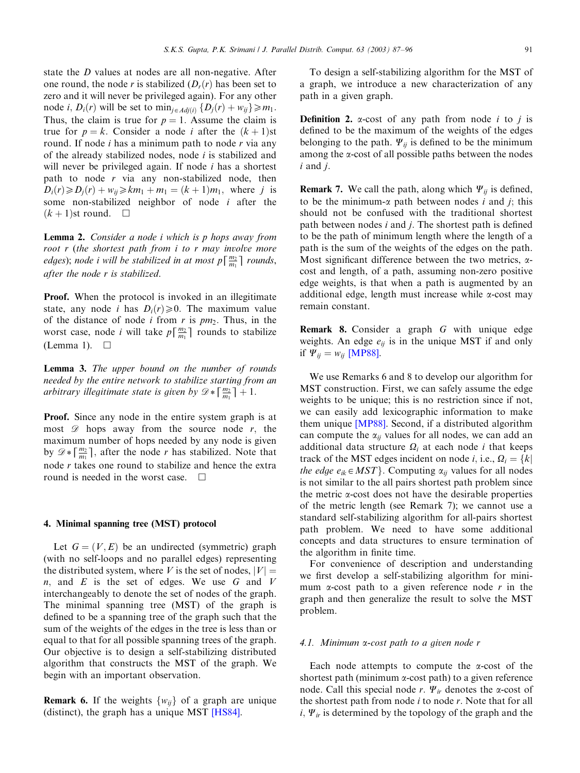state the D values at nodes are all non-negative. After one round, the node r is stabilized  $(D_r(r)$  has been set to zero and it will never be privileged again). For any other node i,  $D_i(r)$  will be set to min<sub>je Adj(i)</sub>  $\{D_j(r) + w_{ij}\} \ge m_1$ . Thus, the claim is true for  $p = 1$ . Assume the claim is true for  $p = k$ . Consider a node *i* after the  $(k + 1)$ st round. If node  $i$  has a minimum path to node  $r$  via any of the already stabilized nodes, node  $i$  is stabilized and will never be privileged again. If node *i* has a shortest path to node  $r$  via any non-stabilized node, then  $D_i(r) \geq D_i(r) + w_{ij} \geq k m_1 + m_1 = (k+1)m_1$ , where j is some non-stabilized neighbor of node *i* after the  $(k + 1)$ st round.  $\square$ 

Lemma 2. Consider a node *i* which is *p* hops away from root r (the shortest path from i to r may involve more edges); node i will be stabilized in at most  $p\lceil \frac{m_2}{m_1} \rceil$  rounds, after the node r is stabilized.

**Proof.** When the protocol is invoked in an illegitimate state, any node *i* has  $D_i(r) \ge 0$ . The maximum value of the distance of node i from  $r$  is  $pm_2$ . Thus, in the worst case, node *i* will take  $p\lceil \frac{m_2}{m_1} \rceil$  rounds to stabilize (Lemma 1).  $\square$ 

Lemma 3. The upper bound on the number of rounds needed by the entire network to stabilize starting from an arbitrary illegitimate state is given by  $\mathscr{D} * \lceil \frac{m_2}{m_1} \rceil + 1$ .

Proof. Since any node in the entire system graph is at most  $\mathscr D$  hops away from the source node r, the maximum number of hops needed by any node is given by  $\mathscr{D} * \lceil \frac{m_2}{m_1} \rceil$ , after the node r has stabilized. Note that node r takes one round to stabilize and hence the extra round is needed in the worst case.

# 4. Minimal spanning tree (MST) protocol

Let  $G = (V, E)$  be an undirected (symmetric) graph (with no self-loops and no parallel edges) representing the distributed system, where V is the set of nodes,  $|V|$  = n, and  $E$  is the set of edges. We use  $G$  and  $V$ interchangeably to denote the set of nodes of the graph. The minimal spanning tree (MST) of the graph is defined to be a spanning tree of the graph such that the sum of the weights of the edges in the tree is less than or equal to that for all possible spanning trees of the graph. Our objective is to design a self-stabilizing distributed algorithm that constructs the MST of the graph. We begin with an important observation.

**Remark 6.** If the weights  $\{w_{ij}\}\$  of a graph are unique (distinct), the graph has a unique MST [\[HS84\]](#page-9-0).

To design a self-stabilizing algorithm for the MST of a graph, we introduce a new characterization of any path in a given graph.

**Definition 2.**  $\alpha$ -cost of any path from node *i* to *j* is defined to be the maximum of the weights of the edges belonging to the path.  $\Psi_{ii}$  is defined to be the minimum among the  $\alpha$ -cost of all possible paths between the nodes  $i$  and  $j$ .

**Remark 7.** We call the path, along which  $\Psi_{ij}$  is defined, to be the minimum- $\alpha$  path between nodes i and j; this should not be confused with the traditional shortest path between nodes  $i$  and  $j$ . The shortest path is defined to be the path of minimum length where the length of a path is the sum of the weights of the edges on the path. Most significant difference between the two metrics,  $\alpha$ cost and length, of a path, assuming non-zero positive edge weights, is that when a path is augmented by an additional edge, length must increase while  $\alpha$ -cost may remain constant.

Remark 8. Consider a graph G with unique edge weights. An edge  $e_{ij}$  is in the unique MST if and only if  $\Psi_{ij} = w_{ij}$  [\[MP88\]](#page-9-0).

We use Remarks 6 and 8 to develop our algorithm for MST construction. First, we can safely assume the edge weights to be unique; this is no restriction since if not, we can easily add lexicographic information to make them unique [\[MP88\]](#page-9-0). Second, if a distributed algorithm can compute the  $\alpha_{ij}$  values for all nodes, we can add an additional data structure  $Q_i$  at each node *i* that keeps track of the MST edges incident on node *i*, i.e.,  $\Omega_i = \{k |$ the edge  $e_{ik} \in MST$ . Computing  $\alpha_{ij}$  values for all nodes is not similar to the all pairs shortest path problem since the metric  $\alpha$ -cost does not have the desirable properties of the metric length (see Remark 7); we cannot use a standard self-stabilizing algorithm for all-pairs shortest path problem. We need to have some additional concepts and data structures to ensure termination of the algorithm in finite time.

For convenience of description and understanding we first develop a self-stabilizing algorithm for minimum  $\alpha$ -cost path to a given reference node r in the graph and then generalize the result to solve the MST problem.

#### 4.1. Minimum  $\alpha$ -cost path to a given node r

Each node attempts to compute the  $\alpha$ -cost of the shortest path (minimum  $\alpha$ -cost path) to a given reference node. Call this special node r.  $\Psi_{ir}$  denotes the  $\alpha$ -cost of the shortest path from node  $i$  to node  $r$ . Note that for all i,  $\Psi_{ir}$  is determined by the topology of the graph and the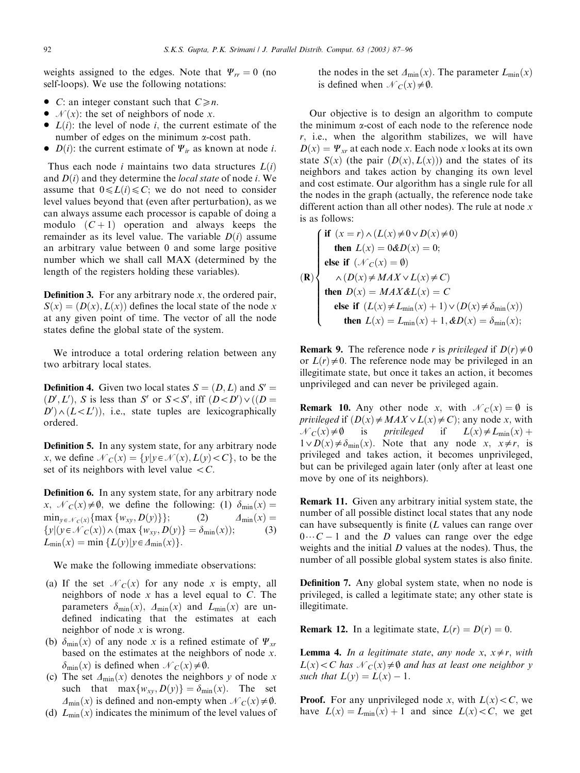weights assigned to the edges. Note that  $\Psi_{rr} = 0$  (no self-loops). We use the following notations:

- C: an integer constant such that  $C \ge n$ .
- $\mathcal{N}(x)$ : the set of neighbors of node x.
- $\bullet$  *L(i)*: the level of node *i*, the current estimate of the number of edges on the minimum  $\alpha$ -cost path.
- $D(i)$ : the current estimate of  $\Psi_{ir}$  as known at node i.

Thus each node i maintains two data structures  $L(i)$ and  $D(i)$  and they determine the *local state* of node *i*. We assume that  $0 \le L(i) \le C$ ; we do not need to consider level values beyond that (even after perturbation), as we can always assume each processor is capable of doing a modulo  $(C + 1)$  operation and always keeps the remainder as its level value. The variable  $D(i)$  assume an arbitrary value between 0 and some large positive number which we shall call MAX (determined by the length of the registers holding these variables).

**Definition 3.** For any arbitrary node  $x$ , the ordered pair,  $S(x) = (D(x), L(x))$  defines the local state of the node x at any given point of time. The vector of all the node states define the global state of the system.

We introduce a total ordering relation between any two arbitrary local states.

**Definition 4.** Given two local states  $S = (D, L)$  and  $S' =$  $(D', L')$ , S is less than S' or S < S', iff  $(D < D') \vee (D =$  $D'(\wedge (L \lt L'))$ , i.e., state tuples are lexicographically ordered.

Definition 5. In any system state, for any arbitrary node x, we define  $\mathcal{N}_C(x) = \{y | y \in \mathcal{N}(x), L(y) < C\}$ , to be the set of its neighbors with level value  $\langle C$ .

Definition 6. In any system state, for any arbitrary node  $x, \mathcal{N}_C(x) \neq \emptyset$ , we define the following: (1)  $\delta_{\min}(x) =$  $\min_{y \in \mathcal{N}_C(x)} \{\max \{w_{xy}, D(y)\}\};$  (2)  $\Delta_{\min}(x) =$  $\{y | (y \in \mathcal{N}_C(x)) \wedge (\max \{w_{xy}, D(y)\} = \delta_{\min}(x));$  (3)  $L_{\min}(x) = \min \{L(y)|y \in \Delta_{\min}(x)\}.$ 

We make the following immediate observations:

- (a) If the set  $\mathcal{N}_C(x)$  for any node x is empty, all neighbors of node  $x$  has a level equal to  $C$ . The parameters  $\delta_{\min}(x)$ ,  $\Delta_{\min}(x)$  and  $L_{\min}(x)$  are undefined indicating that the estimates at each neighbor of node  $x$  is wrong.
- (b)  $\delta_{\min}(x)$  of any node x is a refined estimate of  $\Psi_{xr}$ based on the estimates at the neighbors of node  $x$ .  $\delta_{\min}(x)$  is defined when  $\mathcal{N}_C(x) \neq \emptyset$ .
- (c) The set  $\Delta_{\min}(x)$  denotes the neighbors y of node x such that  $\max\{w_{xy}, D(y)\} = \delta_{\min}(x)$ . The set  $\Delta_{\min}(x)$  is defined and non-empty when  $\mathcal{N}_C(x) \neq \emptyset$ .
- (d)  $L_{\text{min}}(x)$  indicates the minimum of the level values of

the nodes in the set  $\Delta_{\min}(x)$ . The parameter  $L_{\min}(x)$ is defined when  $\mathcal{N}_C(x) \neq \emptyset$ .

Our objective is to design an algorithm to compute the minimum  $\alpha$ -cost of each node to the reference node  $r$ , i.e., when the algorithm stabilizes, we will have  $D(x) = \Psi_{x}$  at each node x. Each node x looks at its own state  $S(x)$  (the pair  $(D(x), L(x))$ ) and the states of its neighbors and takes action by changing its own level and cost estimate. Our algorithm has a single rule for all the nodes in the graph (actually, the reference node take different action than all other nodes). The rule at node  $x$ is as follows:

$$
\begin{cases}\n\text{if } (x = r) \land (L(x) \neq 0 \lor D(x) \neq 0) \\
\text{then } L(x) = 0 \& D(x) = 0; \\
\text{else if } (\mathcal{N}_C(x) = \emptyset) \\
\land (D(x) \neq MAX \lor L(x) \neq C) \\
\text{then } D(x) = MAX \& L(x) = C \\
\text{else if } (L(x) \neq L_{\min}(x) + 1) \lor (D(x) \neq \delta_{\min}(x)) \\
\text{then } L(x) = L_{\min}(x) + 1, \& D(x) = \delta_{\min}(x); \n\end{cases}
$$

**Remark 9.** The reference node r is *privileged* if  $D(r) \neq 0$ or  $L(r) \neq 0$ . The reference node may be privileged in an illegitimate state, but once it takes an action, it becomes unprivileged and can never be privileged again.

**Remark 10.** Any other node x, with  $\mathcal{N}_C(x) = \emptyset$  is *privileged* if  $(D(x) \neq MAX \vee L(x) \neq C)$ ; any node x, with  $\mathcal{N}_C(x) \neq \emptyset$  is privileged if  $L(x) \neq L_{\min}(x) +$  $1 \vee D(x) \neq \delta_{\min}(x)$ . Note that any node x,  $x \neq r$ , is privileged and takes action, it becomes unprivileged, but can be privileged again later (only after at least one move by one of its neighbors).

**Remark 11.** Given any arbitrary initial system state, the number of all possible distinct local states that any node can have subsequently is finite  $(L$  values can range over  $0 \cdots C - 1$  and the *D* values can range over the edge weights and the initial  $D$  values at the nodes). Thus, the number of all possible global system states is also finite.

Definition 7. Any global system state, when no node is privileged, is called a legitimate state; any other state is illegitimate.

**Remark 12.** In a legitimate state,  $L(r) = D(r) = 0$ .

**Lemma 4.** In a legitimate state, any node x,  $x \neq r$ , with  $L(x) < C$  has  $\mathcal{N}_C(x) \neq \emptyset$  and has at least one neighbor y such that  $L(y) = L(x) - 1$ .

**Proof.** For any unprivileged node x, with  $L(x) < C$ , we have  $L(x) = L_{min}(x) + 1$  and since  $L(x) < C$ , we get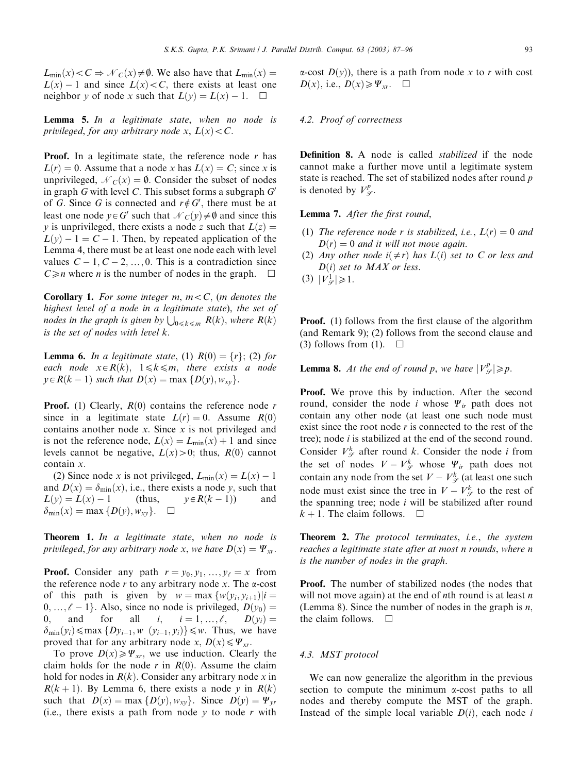$L_{\min}(x) < C \Rightarrow \mathcal{N}_C(x) \neq \emptyset$ . We also have that  $L_{\min}(x) =$  $L(x) - 1$  and since  $L(x) < C$ , there exists at least one neighbor y of node x such that  $L(y) = L(x) - 1$ .  $\Box$ 

**Lemma 5.** In a legitimate state, when no node is privileged, for any arbitrary node x,  $L(x) < C$ .

**Proof.** In a legitimate state, the reference node  $r$  has  $L(r) = 0$ . Assume that a node x has  $L(x) = C$ ; since x is unprivileged,  $\mathcal{N}_C(x) = \emptyset$ . Consider the subset of nodes in graph G with level C. This subset forms a subgraph  $G'$ of G. Since G is connected and  $r \notin G'$ , there must be at least one node  $y \in G'$  such that  $\mathcal{N}_C(y) \neq \emptyset$  and since this y is unprivileged, there exists a node z such that  $L(z) =$  $L(y) - 1 = C - 1$ . Then, by repeated application of the Lemma 4, there must be at least one node each with level values  $C-1, C-2, ..., 0$ . This is a contradiction since  $C \geq n$  where *n* is the number of nodes in the graph.  $\Box$ 

**Corollary 1.** For some integer m,  $m < C$ , (m denotes the highest level of a node in a legitimate state), the set of makes been by a node in a regularitie state), the set by nodes in the graph is given by  $\bigcup_{0 \leq k \leq m} R(k)$ , where  $R(k)$ is the set of nodes with level k.

**Lemma 6.** In a legitimate state, (1)  $R(0) = \{r\}$ ; (2) for each node  $x \in R(k)$ ,  $1 \le k \le m$ , there exists a node  $y \in R(k-1)$  such that  $D(x) = \max \{D(y), w_{xy}\}.$ 

**Proof.** (1) Clearly,  $R(0)$  contains the reference node r since in a legitimate state  $L(r) = 0$ . Assume  $R(0)$ contains another node x. Since  $x$  is not privileged and is not the reference node,  $L(x) = L_{min}(x) + 1$  and since levels cannot be negative,  $L(x) > 0$ ; thus,  $R(0)$  cannot contain x:

(2) Since node x is not privileged,  $L_{\text{min}}(x) = L(x) - 1$ and  $D(x) = \delta_{\min}(x)$ , i.e., there exists a node y, such that  $L(y) = L(x) - 1$  $-1$  (thus,  $y \in R(k-1)$ ) and  $\delta_{\min}(x) = \max \{D(y), w_{xy}\}. \quad \Box$ 

Theorem 1. In a legitimate state, when no node is privileged, for any arbitrary node x, we have  $D(x) = \Psi_{xr}$ .

**Proof.** Consider any path  $r = y_0, y_1, \ldots, y_\ell = x$  from the reference node r to any arbitrary node x. The  $\alpha$ -cost of this path is given by  $w = \max \{w(y_i, y_{i+1}) | i =$  $0, \ldots, \ell - 1$ . Also, since no node is privileged,  $D(y_0) =$ 0, and for all  $i, i = 1, ..., \ell, D(y_i) =$  $\delta_{\min}(y_i) \le \max \{Dy_{i-1}, w \ (y_{i-1}, y_i)\} \le w$ . Thus, we have proved that for any arbitrary node x,  $D(x) \leq \Psi_{xr}$ .

To prove  $D(x) \geqslant \Psi_{xr}$ , we use induction. Clearly the claim holds for the node r in  $R(0)$ . Assume the claim hold for nodes in  $R(k)$ . Consider any arbitrary node x in  $R(k + 1)$ . By Lemma 6, there exists a node y in  $R(k)$ such that  $D(x) = \max \{D(y), w_{xy}\}.$  Since  $D(y) = \Psi_{yr}$ (i.e., there exists a path from node  $y$  to node  $r$  with  $\alpha$ -cost  $D(y)$ , there is a path from node x to r with cost  $D(x)$ , i.e.,  $D(x) \geqslant \Psi_{xr}$ .  $\Box$ 

## 4.2. Proof of correctness

Definition 8. A node is called *stabilized* if the node cannot make a further move until a legitimate system state is reached. The set of stabilized nodes after round p is denoted by  $V_{\mathscr{S}}^p$ .

Lemma 7. After the first round,

- (1) The reference node r is stabilized, i.e.,  $L(r) = 0$  and  $D(r) = 0$  and it will not move again.
- (2) Any other node  $i(\neq r)$  has  $L(i)$  set to C or less and  $D(i)$  set to MAX or less.
- (3)  $|V_g^1| \ge 1$ .

**Proof.** (1) follows from the first clause of the algorithm (and Remark 9); (2) follows from the second clause and (3) follows from (1).  $\square$ 

**Lemma 8.** At the end of round p, we have  $|V_{\mathcal{S}}^p| \geq p$ .

Proof. We prove this by induction. After the second round, consider the node i whose  $\Psi_{ir}$  path does not contain any other node (at least one such node must exist since the root node  $r$  is connected to the rest of the tree); node  $i$  is stabilized at the end of the second round. Consider  $V_g^k$  after round k. Consider the node i from the set of nodes  $V - V_g^k$  whose  $\Psi_{ir}$  path does not contain any node from the set  $V - V^k_{\mathscr{S}}$  (at least one such node must exist since the tree in  $V - V_g^k$  to the rest of the spanning tree; node  $i$  will be stabilized after round  $k + 1$ . The claim follows.  $\Box$ 

Theorem 2. The protocol terminates, i.e., the system reaches a legitimate state after at most n rounds, where n is the number of nodes in the graph.

Proof. The number of stabilized nodes (the nodes that will not move again) at the end of *n*th round is at least *n* (Lemma 8). Since the number of nodes in the graph is  $n$ , the claim follows.  $\square$ 

## 4.3. MST protocol

We can now generalize the algorithm in the previous section to compute the minimum  $\alpha$ -cost paths to all nodes and thereby compute the MST of the graph. Instead of the simple local variable  $D(i)$ , each node i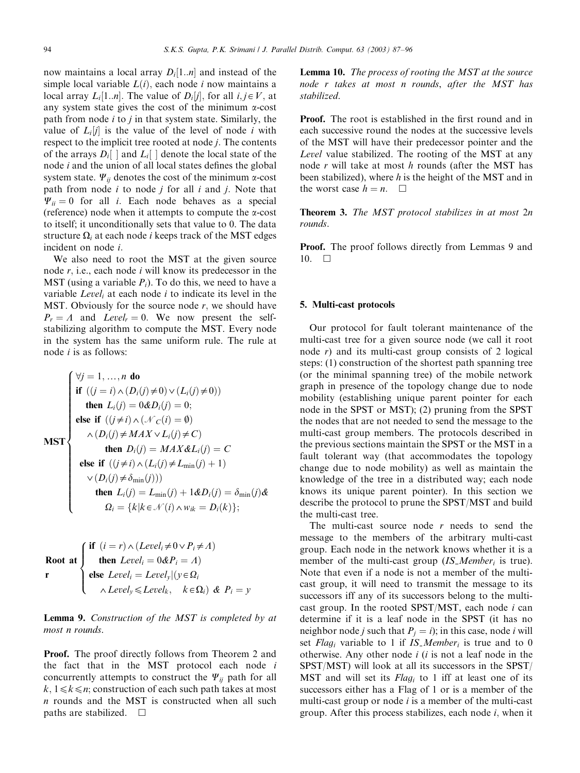now maintains a local array  $D_i[1..n]$  and instead of the simple local variable  $L(i)$ , each node i now maintains a local array  $L_i[1..n]$ . The value of  $D_i[j]$ , for all  $i, j \in V$ , at any system state gives the cost of the minimum  $\alpha$ -cost path from node  $i$  to  $j$  in that system state. Similarly, the value of  $L_i[j]$  is the value of the level of node i with respect to the implicit tree rooted at node  $j$ . The contents of the arrays  $D_i$  | and  $L_i$  | denote the local state of the node i and the union of all local states defines the global system state.  $\Psi_{ij}$  denotes the cost of the minimum  $\alpha$ -cost path from node  $i$  to node  $j$  for all  $i$  and  $j$ . Note that  $\Psi_{ii} = 0$  for all *i*. Each node behaves as a special (reference) node when it attempts to compute the  $\alpha$ -cost to itself; it unconditionally sets that value to 0. The data structure  $\Omega_i$  at each node *i* keeps track of the MST edges incident on node  $i$ .

We also need to root the MST at the given source node  $r$ , i.e., each node  $i$  will know its predecessor in the MST (using a variable  $P_i$ ). To do this, we need to have a variable Level<sub>i</sub> at each node  $i$  to indicate its level in the MST. Obviously for the source node  $r$ , we should have  $P_r = \Lambda$  and  $Level_r = 0$ . We now present the selfstabilizing algorithm to compute the MST. Every node in the system has the same uniform rule. The rule at node  $i$  is as follows:

$$
\begin{cases}\n\forall j = 1, ..., n \text{ do} \\
\text{if } ((j = i) \land (D_i(j) \neq 0) \lor (L_i(j) \neq 0)) \\
\text{then } L_i(j) = 0 \& D_i(j) = 0; \\
\text{else if } ((j \neq i) \land (\mathcal{N}_C(i) = \emptyset) \\
\land (D_i(j) \neq MAX \lor L_i(j) \neq C) \\
\text{then } D_i(j) = MAX \& L_i(j) = C \\
\text{else if } ((j \neq i) \land (L_i(j) \neq L_{\min}(j) + 1) \\
\lor (D_i(j) \neq \delta_{\min}(j))) \\
\text{then } L_i(j) = L_{\min}(j) + 1 \& D_i(j) = \delta_{\min}(j) \& \\
\Omega_i = \{k | k \in \mathcal{N}(i) \land w_{ik} = D_i(k) \};\n\end{cases}
$$

**Root at** 
$$
\begin{cases} \text{if } (i = r) \land (Level_i \neq 0 \lor P_i \neq A) \\ \text{then } Level_i = 0 \& P_i = A) \\ \text{else } Level_i = Level_y | (y \in \Omega_i \\ \land Level_y \le Level_k, \quad k \in \Omega_i) \& P_i = y \end{cases}
$$

Lemma 9. Construction of the MST is completed by at most n rounds.

Proof. The proof directly follows from Theorem 2 and the fact that in the MST protocol each node  $i$ concurrently attempts to construct the  $\Psi_{ij}$  path for all  $k, 1 \le k \le n$ ; construction of each such path takes at most  $n$  rounds and the MST is constructed when all such paths are stabilized.  $\square$ 

Lemma 10. The process of rooting the MST at the source node r takes at most n rounds, after the MST has stabilized.

Proof. The root is established in the first round and in each successive round the nodes at the successive levels of the MST will have their predecessor pointer and the Level value stabilized. The rooting of the MST at any node r will take at most  $h$  rounds (after the MST has been stabilized), where  $h$  is the height of the MST and in the worst case  $h = n$ .  $\Box$ 

Theorem 3. The MST protocol stabilizes in at most  $2n$ rounds.

Proof. The proof follows directly from Lemmas 9 and  $10. \square$ 

#### 5. Multi-cast protocols

Our protocol for fault tolerant maintenance of the multi-cast tree for a given source node (we call it root node  $r$ ) and its multi-cast group consists of 2 logical steps: (1) construction of the shortest path spanning tree (or the minimal spanning tree) of the mobile network graph in presence of the topology change due to node mobility (establishing unique parent pointer for each node in the SPST or MST); (2) pruning from the SPST the nodes that are not needed to send the message to the multi-cast group members. The protocols described in the previous sections maintain the SPST or the MST in a fault tolerant way (that accommodates the topology change due to node mobility) as well as maintain the knowledge of the tree in a distributed way; each node knows its unique parent pointer). In this section we describe the protocol to prune the SPST/MST and build the multi-cast tree.

The multi-cast source node  $r$  needs to send the message to the members of the arbitrary multi-cast group. Each node in the network knows whether it is a member of the multi-cast group  $(IS_M$ *ember<sub>i</sub>* is true). Note that even if a node is not a member of the multicast group, it will need to transmit the message to its successors iff any of its successors belong to the multicast group. In the rooted SPST/MST, each node  $i$  can determine if it is a leaf node in the SPST (it has no neighbor node *j* such that  $P_i = i$ ; in this case, node *i* will set  $Flag_i$  variable to 1 if IS\_Member<sub>i</sub> is true and to 0 otherwise. Any other node  $i$  ( $i$  is not a leaf node in the SPST/MST) will look at all its successors inthe SPST/ MST and will set its  $Flag_i$  to 1 iff at least one of its successors either has a Flag of 1 or is a member of the multi-cast group or node  $i$  is a member of the multi-cast group. After this process stabilizes, each node  $i$ , when it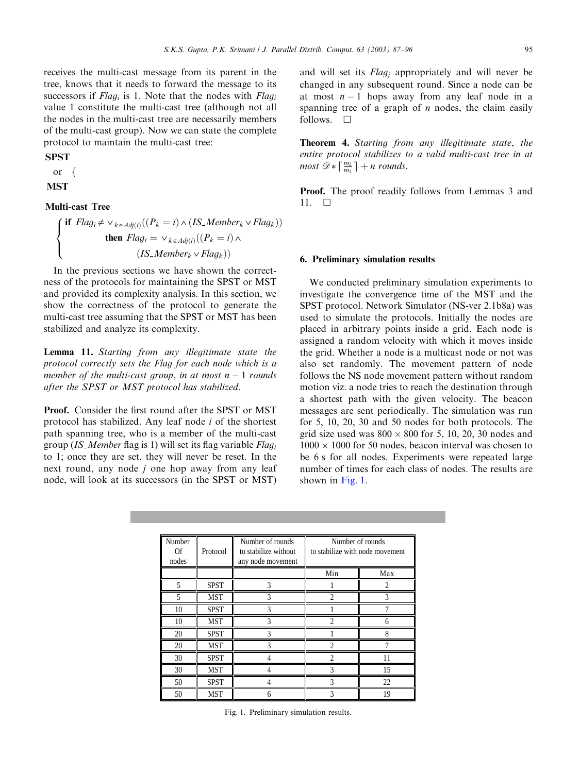receives the multi-cast message from its parent in the tree, knows that it needs to forward the message to its successors if  $Flag_i$  is 1. Note that the nodes with  $Flag_i$ value 1 constitute the multi-cast tree (although not all the nodes in the multi-cast tree are necessarily members of the multi-cast group). Now we canstate the complete protocol to maintain the multi-cast tree:

# **SPST**

or f

**MST** 

# Multi-cast Tree

if  $Flag_i \neq \vee_{k \in Adj(i)}((P_k = i) \wedge (IS\_Member_k \vee Flag_k))$ **then**  $Flag_i = \vee_{k \in Adj(i)} ((P_k = i) \wedge$  $(IS\mathit{Member}_k \vee Flag_k))$  $\overline{6}$  $\overline{\phantom{a}}$ >:

In the previous sections we have shown the correctness of the protocols for maintaining the SPST or MST and provided its complexity analysis. In this section, we show the correctness of the protocol to generate the multi-cast tree assuming that the SPST or MST has been stabilized and analyze its complexity.

Lemma 11. Starting from any illegitimate state the protocol correctly sets the Flag for each node which is a member of the multi-cast group, in at most  $n-1$  rounds after the SPST or MST protocol has stabilized.

Proof. Consider the first round after the SPST or MST protocol has stabilized. Any leaf node  $i$  of the shortest path spanning tree, who is a member of the multi-cast group (IS\_Member flag is 1) will set its flag variable  $Flag_i$ to 1; once they are set, they will never be reset. In the next round, any node *j* one hop away from any leaf node, will look at its successors (in the SPST or MST) and will set its  $Flag_i$  appropriately and will never be changed in any subsequent round. Since a node can be at most  $n-1$  hops away from any leaf node in a spanning tree of a graph of  $n$  nodes, the claim easily follows.  $\square$ 

Theorem 4. Starting from any illegitimate state, the entire protocol stabilizes to a valid multi-cast tree in at  $most \mathscr{D} * \lceil \frac{m_2}{m_1} \rceil + n \text{ rounds.}$ 

Proof. The proof readily follows from Lemmas 3 and  $11. \square$ 

### 6. Preliminary simulation results

We conducted preliminary simulation experiments to investigate the convergence time of the MST and the SPST protocol. Network Simulator (NS-ver 2.1b8a) was used to simulate the protocols. Initially the nodes are placed in arbitrary points inside a grid. Each node is assigned a random velocity with which it moves inside the grid. Whether a node is a multicast node or not was also set randomly. The movement pattern of node follows the NS node movement pattern without random motion viz. a node tries to reach the destination through a shortest path with the given velocity. The beacon messages are sent periodically. The simulation was run for 5, 10, 20, 30 and 50 nodes for both protocols. The grid size used was  $800 \times 800$  for 5, 10, 20, 30 nodes and  $1000 \times 1000$  for 50 nodes, beacon interval was chosen to be 6 s for all nodes. Experiments were repeated large number of times for each class of nodes. The results are shown in Fig. 1.

| Number<br>Of<br>nodes | Protocol    | Number of rounds<br>to stabilize without<br>any node movement | Number of rounds<br>to stabilize with node movement |     |
|-----------------------|-------------|---------------------------------------------------------------|-----------------------------------------------------|-----|
|                       |             |                                                               | Min                                                 | Max |
| 5                     | <b>SPST</b> | 3                                                             |                                                     | 2   |
| 5                     | <b>MST</b>  | 3                                                             | $\mathfrak{D}$                                      | 3   |
| 10                    | <b>SPST</b> | 3                                                             |                                                     |     |
| 10                    | <b>MST</b>  | 3                                                             | $\mathfrak{D}$                                      | 6   |
| 20                    | <b>SPST</b> | 3                                                             |                                                     | 8   |
| 20                    | <b>MST</b>  | 3                                                             | 2                                                   |     |
| 30                    | <b>SPST</b> |                                                               | 2                                                   | 11  |
| 30                    | <b>MST</b>  |                                                               | 3                                                   | 15  |
| 50                    | <b>SPST</b> |                                                               | 3                                                   | 22  |
| 50                    | <b>MST</b>  | 6                                                             | $\mathcal{R}$                                       | 19  |

Fig. 1. Preliminary simulation results.